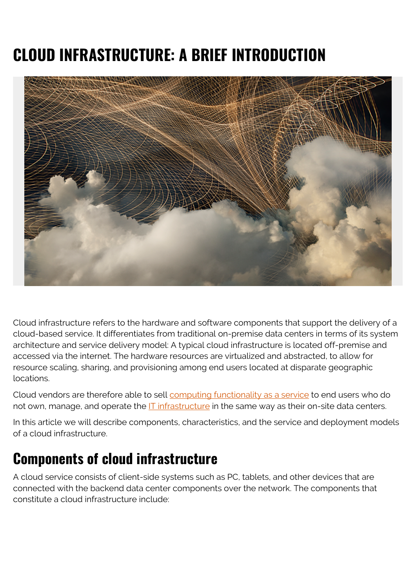# **CLOUD INFRASTRUCTURE: A BRIEF INTRODUCTION**



Cloud infrastructure refers to the hardware and software components that support the delivery of a cloud-based service. It differentiates from traditional on-premise data centers in terms of its system architecture and service delivery model: A typical cloud infrastructure is located off-premise and accessed via the internet. The hardware resources are virtualized and abstracted, to allow for resource scaling, sharing, and provisioning among end users located at disparate geographic locations.

Cloud vendors are therefore able to sell [computing functionality as a service](https://blogs.bmc.com/blogs/saas-vs-paas-vs-iaas-whats-the-difference-and-how-to-choose/) to end users who do not own, manage, and operate the **IT** infrastructure in the same way as their on-site data centers.

In this article we will describe components, characteristics, and the service and deployment models of a cloud infrastructure.

### **Components of cloud infrastructure**

A cloud service consists of client-side systems such as PC, tablets, and other devices that are connected with the backend data center components over the network. The components that constitute a cloud infrastructure include: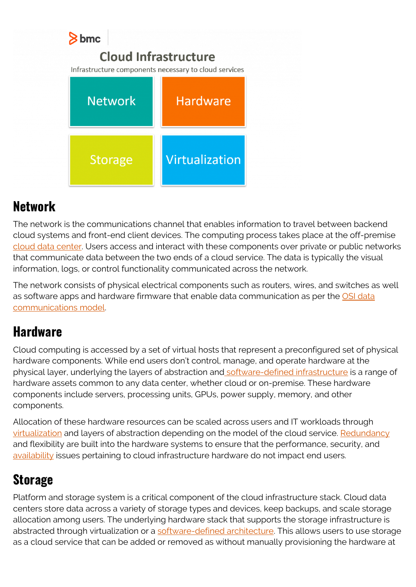

#### **Network**

The network is the communications channel that enables information to travel between backend cloud systems and front-end client devices. The computing process takes place at the off-premise [cloud data center.](https://blogs.bmc.com/blogs/rise-of-data-centers/) Users access and interact with these components over private or public networks that communicate data between the two ends of a cloud service. The data is typically the visual information, logs, or control functionality communicated across the network.

The network consists of physical electrical components such as routers, wires, and switches as well as software apps and hardware firmware that enable data communication as per the [OSI data](https://blogs.bmc.com/blogs/osi-model-7-layers/) [communications model](https://blogs.bmc.com/blogs/osi-model-7-layers/).

#### **Hardware**

Cloud computing is accessed by a set of virtual hosts that represent a preconfigured set of physical hardware components. While end users don't control, manage, and operate hardware at the physical layer, underlying the layers of abstraction an[d software-defined infrastructure](https://blogs.bmc.com/blogs/software-defined-infrastructure/) is a range of hardware assets common to any data center, whether cloud or on-premise. These hardware components include servers, processing units, GPUs, power supply, memory, and other components.

Allocation of these hardware resources can be scaled across users and IT workloads through [virtualization](https://blogs.bmc.com/blogs/it-virtualization/) and layers of abstraction depending on the model of the cloud service. [Redundancy](https://blogs.bmc.com/blogs/resiliency-vs-redundancy/) and flexibility are built into the hardware systems to ensure that the performance, security, and [availability](https://blogs.bmc.com/blogs/reliability-vs-availability/) issues pertaining to cloud infrastructure hardware do not impact end users.

### **Storage**

Platform and storage system is a critical component of the cloud infrastructure stack. Cloud data centers store data across a variety of storage types and devices, keep backups, and scale storage allocation among users. The underlying hardware stack that supports the storage infrastructure is abstracted through virtualization or a [software-defined architecture.](https://blogs.bmc.com/blogs/what-is-a-software-defined-data-center/) This allows users to use storage as a cloud service that can be added or removed as without manually provisioning the hardware at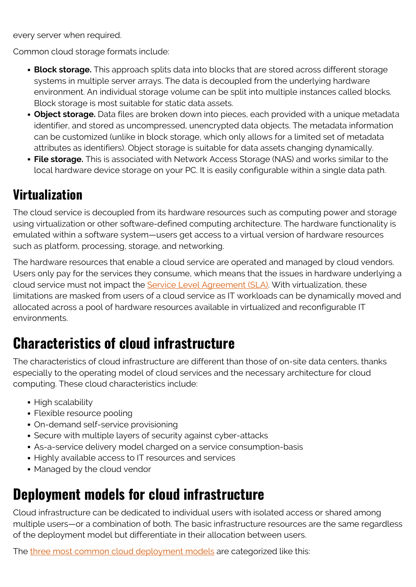every server when required.

Common cloud storage formats include:

- **Block storage.** This approach splits data into blocks that are stored across different storage systems in multiple server arrays. The data is decoupled from the underlying hardware environment. An individual storage volume can be split into multiple instances called blocks. Block storage is most suitable for static data assets.
- **Object storage.** Data files are broken down into pieces, each provided with a unique metadata identifier, and stored as uncompressed, unencrypted data objects. The metadata information can be customized (unlike in block storage, which only allows for a limited set of metadata attributes as identifiers). Object storage is suitable for data assets changing dynamically.
- **File storage.** This is associated with Network Access Storage (NAS) and works similar to the local hardware device storage on your PC. It is easily configurable within a single data path.

#### **Virtualization**

The cloud service is decoupled from its hardware resources such as computing power and storage using virtualization or other software-defined computing architecture. The hardware functionality is emulated within a software system—users get access to a virtual version of hardware resources such as platform, processing, storage, and networking.

The hardware resources that enable a cloud service are operated and managed by cloud vendors. Users only pay for the services they consume, which means that the issues in hardware underlying a cloud service must not impact the **Service Level Agreement (SLA)**. With virtualization, these limitations are masked from users of a cloud service as IT workloads can be dynamically moved and allocated across a pool of hardware resources available in virtualized and reconfigurable IT environments.

# **Characteristics of cloud infrastructure**

The characteristics of cloud infrastructure are different than those of on-site data centers, thanks especially to the operating model of cloud services and the necessary architecture for cloud computing. These cloud characteristics include:

- High scalability
- Flexible resource pooling
- On-demand self-service provisioning
- Secure with multiple layers of security against cyber-attacks
- As-a-service delivery model charged on a service consumption-basis
- Highly available access to IT resources and services
- Managed by the cloud vendor

## **Deployment models for cloud infrastructure**

Cloud infrastructure can be dedicated to individual users with isolated access or shared among multiple users—or a combination of both. The basic infrastructure resources are the same regardless of the deployment model but differentiate in their allocation between users.

The [three most common cloud deployment models](https://blogs.bmc.com/blogs/public-private-hybrid-cloud/) are categorized like this: